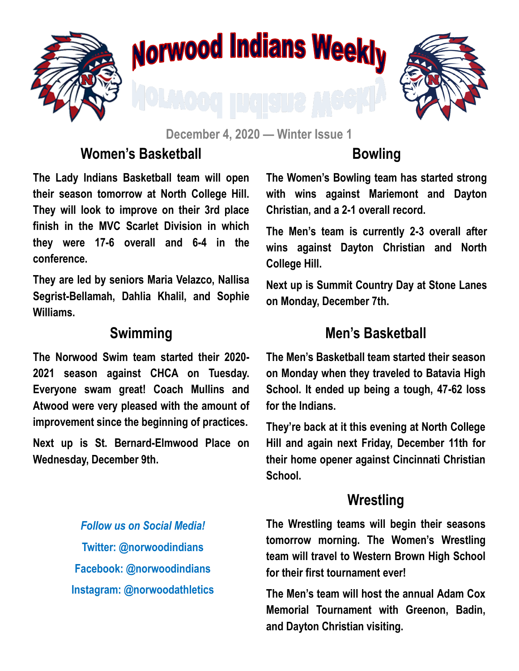

# Norwood Indians Weekly



**December 4, 2020 — Winter Issue 1**

#### **Women's Basketball**

#### **Bowling**

**The Lady Indians Basketball team will open their season tomorrow at North College Hill. They will look to improve on their 3rd place finish in the MVC Scarlet Division in which they were 17-6 overall and 6-4 in the conference.** 

**They are led by seniors Maria Velazco, Nallisa Segrist-Bellamah, Dahlia Khalil, and Sophie Williams.**

#### **Swimming**

**The Norwood Swim team started their 2020- 2021 season against CHCA on Tuesday. Everyone swam great! Coach Mullins and Atwood were very pleased with the amount of improvement since the beginning of practices.** 

**Next up is St. Bernard-Elmwood Place on Wednesday, December 9th.**

**The Women's Bowling team has started strong with wins against Mariemont and Dayton Christian, and a 2-1 overall record.** 

**The Men's team is currently 2-3 overall after wins against Dayton Christian and North College Hill.** 

**Next up is Summit Country Day at Stone Lanes on Monday, December 7th.**

#### **Men's Basketball**

**The Men's Basketball team started their season on Monday when they traveled to Batavia High School. It ended up being a tough, 47-62 loss for the Indians.** 

**They're back at it this evening at North College Hill and again next Friday, December 11th for their home opener against Cincinnati Christian School.** 

#### **Wrestling**

*Follow us on Social Media!* **Twitter: @norwoodindians Facebook: @norwoodindians Instagram: @norwoodathletics**

**The Wrestling teams will begin their seasons tomorrow morning. The Women's Wrestling team will travel to Western Brown High School for their first tournament ever!** 

**The Men's team will host the annual Adam Cox Memorial Tournament with Greenon, Badin, and Dayton Christian visiting.**